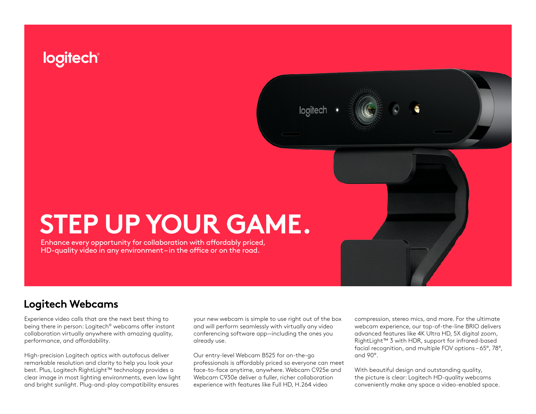# logitech®

looitech



Enhance every opportunity for collaboration with affordably priced, HD-quality video in any environment – in the office or on the road.

## **Logitech Webcams**

Experience video calls that are the next best thing to being there in person: Logitech® webcams offer instant collaboration virtually anywhere with amazing quality, performance, and affordability.

High-precision Logitech optics with autofocus deliver remarkable resolution and clarity to help you look your best. Plus, Logitech RightLight™ technology provides a clear image in most lighting environments, even low light and bright sunlight. Plug-and-play compatibility ensures

your new webcam is simple to use right out of the box and will perform seamlessly with virtually any video conferencing software app—including the ones you already use.

Our entry-level Webcam B525 for on-the-go professionals is affordably priced so everyone can meet face-to-face anytime, anywhere. Webcam C925e and Webcam C930e deliver a fuller, richer collaboration experience with features like Full HD, H.264 video

compression, stereo mics, and more. For the ultimate webcam experience, our top-of-the-line BRIO delivers advanced features like 4K Ultra HD, 5X digital zoom, RightLight™ 3 with HDR, support for infrared-based facial recognition, and multiple FOV options – 65°, 78°, and 90°.

With beautiful design and outstanding quality, the picture is clear: Logitech HD-quality webcams conveniently make any space a video-enabled space.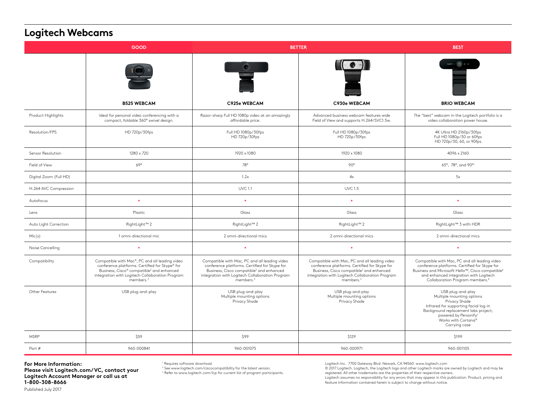## **Logitech Webcams**

| <b>GOOD</b>            |                                                                                                                                                                                                                                       | <b>BETTER</b>                                                                                                                                                                                                                |                                                                                                                                                                                                                              | <b>BEST</b>                                                                                                                                                                                                                                             |
|------------------------|---------------------------------------------------------------------------------------------------------------------------------------------------------------------------------------------------------------------------------------|------------------------------------------------------------------------------------------------------------------------------------------------------------------------------------------------------------------------------|------------------------------------------------------------------------------------------------------------------------------------------------------------------------------------------------------------------------------|---------------------------------------------------------------------------------------------------------------------------------------------------------------------------------------------------------------------------------------------------------|
|                        |                                                                                                                                                                                                                                       |                                                                                                                                                                                                                              |                                                                                                                                                                                                                              |                                                                                                                                                                                                                                                         |
|                        | <b>B525 WEBCAM</b>                                                                                                                                                                                                                    | C925e WEBCAM                                                                                                                                                                                                                 | C930e WEBCAM                                                                                                                                                                                                                 | <b>BRIO WEBCAM</b>                                                                                                                                                                                                                                      |
| Product Highlights     | Ideal for personal video conferencing with a<br>compact, foldable 360° swivel design.                                                                                                                                                 | Razor-sharp Full HD 1080p video at an amazingly<br>affordable price.                                                                                                                                                         | Advanced business webcam features wide<br>Field of View and supports H.264/SVC1.5w.                                                                                                                                          | The "best" webcam in the Logitech portfolio is a<br>video collaboration power house.                                                                                                                                                                    |
| Resolution/FPS         | HD 720p/30fps                                                                                                                                                                                                                         | Full HD 1080p/30fps<br>HD 720p/30fps                                                                                                                                                                                         | Full HD 1080p/30fps<br>HD 720p/30fps                                                                                                                                                                                         | 4K Ultra HD 2160p/30fps<br>Full HD 1080p/30 or 60fps<br>HD 720p/30, 60, or 90fps                                                                                                                                                                        |
| Sensor Resolution      | 1280 x 720                                                                                                                                                                                                                            | 1920 x 1080                                                                                                                                                                                                                  | 1920 x 1080                                                                                                                                                                                                                  | 4096 x 2160                                                                                                                                                                                                                                             |
| Field of View          | 69°                                                                                                                                                                                                                                   | 78°                                                                                                                                                                                                                          | $90^\circ$                                                                                                                                                                                                                   | 65°, 78°, and 90°1                                                                                                                                                                                                                                      |
| Digital Zoom (Full HD) |                                                                                                                                                                                                                                       | 1.2x                                                                                                                                                                                                                         | 4x                                                                                                                                                                                                                           | 5x                                                                                                                                                                                                                                                      |
| H.264 AVC Compression  |                                                                                                                                                                                                                                       | <b>UVC1.1</b>                                                                                                                                                                                                                | <b>UVC 1.5</b>                                                                                                                                                                                                               |                                                                                                                                                                                                                                                         |
| Autofocus              | $\ddot{\phantom{a}}$                                                                                                                                                                                                                  |                                                                                                                                                                                                                              |                                                                                                                                                                                                                              | ٠                                                                                                                                                                                                                                                       |
| Lens                   | Plastic                                                                                                                                                                                                                               | Glass                                                                                                                                                                                                                        | Glass                                                                                                                                                                                                                        | Glass                                                                                                                                                                                                                                                   |
| Auto Light Correction  | RightLight™ 2                                                                                                                                                                                                                         | RightLight <sup>™</sup> 2                                                                                                                                                                                                    | RightLight <sup>™</sup> 2                                                                                                                                                                                                    | RightLight™ 3 with HDR                                                                                                                                                                                                                                  |
| Mic(s)                 | 1 omni-directional mic                                                                                                                                                                                                                | 2 omni-directional mics                                                                                                                                                                                                      | 2 omni-directional mics                                                                                                                                                                                                      | 2 omni-directional mics                                                                                                                                                                                                                                 |
| Noise Cancelling       | $\bullet$                                                                                                                                                                                                                             |                                                                                                                                                                                                                              |                                                                                                                                                                                                                              | ٠                                                                                                                                                                                                                                                       |
| Compatibility          | Compatible with Mac®, PC and all leading video<br>conference platforms. Certified for Skype® for<br>Business, Cisco® compatible <sup>2</sup> and enhanced<br>integration with Logitech Collaboration Program<br>members. <sup>3</sup> | Compatible with Mac, PC and all leading video<br>conference platforms. Certified for Skype for<br>Business, Cisco compatible <sup>2</sup> and enhanced<br>integration with Logitech Collaboration Program<br>$m$ embers. $3$ | Compatible with Mac, PC and all leading video<br>conference platforms. Certified for Skype for<br>Business, Cisco compatible <sup>2</sup> and enhanced<br>integration with Logitech Collaboration Program<br>$m$ embers. $3$ | Compatible with Mac, PC and all leading video<br>conference platforms. Certified for Skype for<br>Business and Microsoft Hello™, Cisco compatible <sup>2</sup><br>and enhanced integration with Logitech<br>Collaboration Program members. <sup>3</sup> |
| Other Features         | USB plug-and-play                                                                                                                                                                                                                     | USB plug-and-play<br>Multiple mounting options<br>Privacy Shade                                                                                                                                                              | USB plug-and-play<br>Multiple mounting options<br>Privacy Shade                                                                                                                                                              | USB plug-and-play<br>Multiple mounting options<br>Privacy Shade<br>Infrared for supporting facial log-in<br>Background replacement labs project,<br>powered by Personify <sup>1</sup><br>Works with Cortana®<br>Carrying case                           |
| <b>MSRP</b>            | \$59                                                                                                                                                                                                                                  | \$99                                                                                                                                                                                                                         | \$129                                                                                                                                                                                                                        | \$199                                                                                                                                                                                                                                                   |
| Part #                 | 960-000841                                                                                                                                                                                                                            | 960-001075                                                                                                                                                                                                                   | 960-000971                                                                                                                                                                                                                   | 960-001105                                                                                                                                                                                                                                              |

**For More Information: Please visit Logitech.com/VC, contact your Logitech Account Manager or call us at 1-800-308-8666** Published July 2017

1 Requires software download.

2 See www.logitech.com/ciscocompatibility for the latest version. <sup>3</sup> Refer to www.logitech.com/lcp for current list of program participants. Logitech Inc. 7700 Gateway Blvd. Newark, CA 94560 www.logitech.com

© 2017 Logitech. Logitech, the Logitech logo and other Logitech marks are owned by Logitech and may be registered. All other trademarks are the properties of their respective owners.

Logitech assumes no responsibility for any errors that may appear in this publication. Product, pricing and feature information contained herein is subject to change without notice.